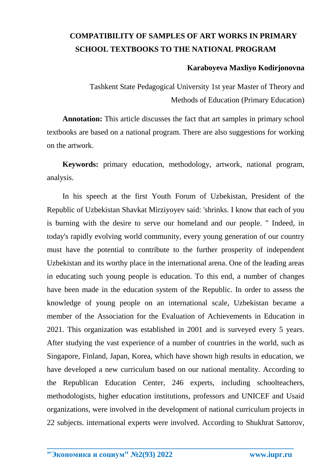## **COMPATIBILITY OF SAMPLES OF ART WORKS IN PRIMARY SCHOOL TEXTBOOKS TO THE NATIONAL PROGRAM**

## **Karaboyeva Maxliyo Kodirjonovna**

Tashkent State Pedagogical University 1st year Master of Theory and Methods of Education (Primary Education)

**Annotation:** This article discusses the fact that art samples in primary school textbooks are based on a national program. There are also suggestions for working on the artwork.

**Keywords:** primary education, methodology, artwork, national program, analysis.

In his speech at the first Youth Forum of Uzbekistan, President of the Republic of Uzbekistan Shavkat Mirziyoyev said: 'shrinks. I know that each of you is burning with the desire to serve our homeland and our people. " Indeed, in today's rapidly evolving world community, every young generation of our country must have the potential to contribute to the further prosperity of independent Uzbekistan and its worthy place in the international arena. One of the leading areas in educating such young people is education. To this end, a number of changes have been made in the education system of the Republic. In order to assess the knowledge of young people on an international scale, Uzbekistan became a member of the Association for the Evaluation of Achievements in Education in 2021. This organization was established in 2001 and is surveyed every 5 years. After studying the vast experience of a number of countries in the world, such as Singapore, Finland, Japan, Korea, which have shown high results in education, we have developed a new curriculum based on our national mentality. According to the Republican Education Center, 246 experts, including schoolteachers, methodologists, higher education institutions, professors and UNICEF and Usaid organizations, were involved in the development of national curriculum projects in 22 subjects. international experts were involved. According to Shukhrat Sattorov,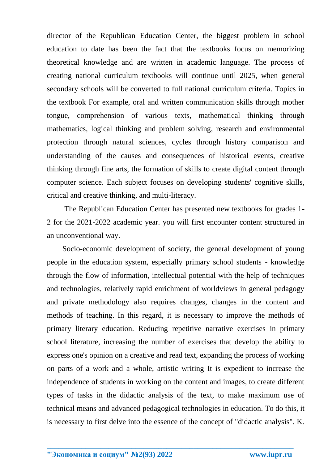director of the Republican Education Center, the biggest problem in school education to date has been the fact that the textbooks focus on memorizing theoretical knowledge and are written in academic language. The process of creating national curriculum textbooks will continue until 2025, when general secondary schools will be converted to full national curriculum criteria. Topics in the textbook For example, oral and written communication skills through mother tongue, comprehension of various texts, mathematical thinking through mathematics, logical thinking and problem solving, research and environmental protection through natural sciences, cycles through history comparison and understanding of the causes and consequences of historical events, creative thinking through fine arts, the formation of skills to create digital content through computer science. Each subject focuses on developing students' cognitive skills, critical and creative thinking, and multi-literacy.

The Republican Education Center has presented new textbooks for grades 1- 2 for the 2021-2022 academic year. you will first encounter content structured in an unconventional way.

Socio-economic development of society, the general development of young people in the education system, especially primary school students - knowledge through the flow of information, intellectual potential with the help of techniques and technologies, relatively rapid enrichment of worldviews in general pedagogy and private methodology also requires changes, changes in the content and methods of teaching. In this regard, it is necessary to improve the methods of primary literary education. Reducing repetitive narrative exercises in primary school literature, increasing the number of exercises that develop the ability to express one's opinion on a creative and read text, expanding the process of working on parts of a work and a whole, artistic writing It is expedient to increase the independence of students in working on the content and images, to create different types of tasks in the didactic analysis of the text, to make maximum use of technical means and advanced pedagogical technologies in education. To do this, it is necessary to first delve into the essence of the concept of "didactic analysis". K.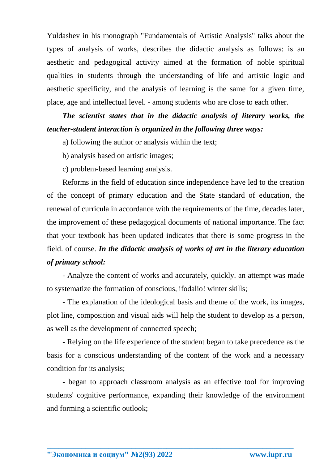Yuldashev in his monograph "Fundamentals of Artistic Analysis" talks about the types of analysis of works, describes the didactic analysis as follows: is an aesthetic and pedagogical activity aimed at the formation of noble spiritual qualities in students through the understanding of life and artistic logic and aesthetic specificity, and the analysis of learning is the same for a given time, place, age and intellectual level. - among students who are close to each other.

*The scientist states that in the didactic analysis of literary works, the teacher-student interaction is organized in the following three ways:*

a) following the author or analysis within the text;

b) analysis based on artistic images;

c) problem-based learning analysis.

Reforms in the field of education since independence have led to the creation of the concept of primary education and the State standard of education, the renewal of curricula in accordance with the requirements of the time, decades later, the improvement of these pedagogical documents of national importance. The fact that your textbook has been updated indicates that there is some progress in the field. of course. *In the didactic analysis of works of art in the literary education of primary school:* 

- Analyze the content of works and accurately, quickly. an attempt was made to systematize the formation of conscious, ifodalio! winter skills;

- The explanation of the ideological basis and theme of the work, its images, plot line, composition and visual aids will help the student to develop as a person, as well as the development of connected speech;

- Relying on the life experience of the student began to take precedence as the basis for a conscious understanding of the content of the work and a necessary condition for its analysis;

- began to approach classroom analysis as an effective tool for improving students' cognitive performance, expanding their knowledge of the environment and forming a scientific outlook;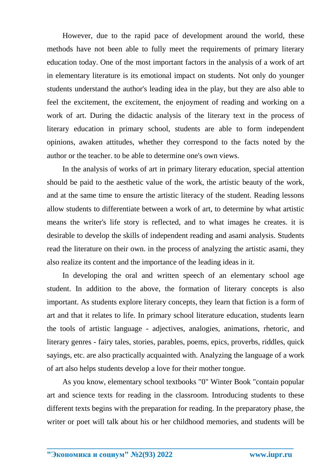However, due to the rapid pace of development around the world, these methods have not been able to fully meet the requirements of primary literary education today. One of the most important factors in the analysis of a work of art in elementary literature is its emotional impact on students. Not only do younger students understand the author's leading idea in the play, but they are also able to feel the excitement, the excitement, the enjoyment of reading and working on a work of art. During the didactic analysis of the literary text in the process of literary education in primary school, students are able to form independent opinions, awaken attitudes, whether they correspond to the facts noted by the author or the teacher. to be able to determine one's own views.

In the analysis of works of art in primary literary education, special attention should be paid to the aesthetic value of the work, the artistic beauty of the work, and at the same time to ensure the artistic literacy of the student. Reading lessons allow students to differentiate between a work of art, to determine by what artistic means the writer's life story is reflected, and to what images he creates. it is desirable to develop the skills of independent reading and asami analysis. Students read the literature on their own. in the process of analyzing the artistic asami, they also realize its content and the importance of the leading ideas in it.

In developing the oral and written speech of an elementary school age student. In addition to the above, the formation of literary concepts is also important. As students explore literary concepts, they learn that fiction is a form of art and that it relates to life. In primary school literature education, students learn the tools of artistic language - adjectives, analogies, animations, rhetoric, and literary genres - fairy tales, stories, parables, poems, epics, proverbs, riddles, quick sayings, etc. are also practically acquainted with. Analyzing the language of a work of art also helps students develop a love for their mother tongue.

As you know, elementary school textbooks "0" Winter Book "contain popular art and science texts for reading in the classroom. Introducing students to these different texts begins with the preparation for reading. In the preparatory phase, the writer or poet will talk about his or her childhood memories, and students will be